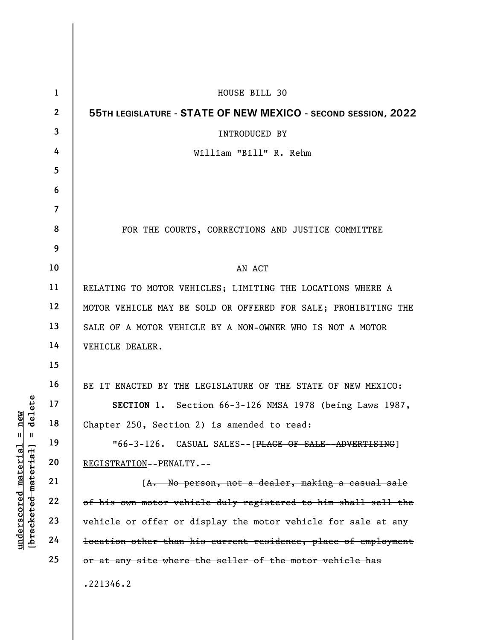|                     | $\mathbf{1}$             | HOUSE BILL 30                                                             |
|---------------------|--------------------------|---------------------------------------------------------------------------|
|                     | $\mathbf{2}$             | 55TH LEGISLATURE - STATE OF NEW MEXICO - SECOND SESSION, 2022             |
|                     | $\overline{\mathbf{3}}$  | <b>INTRODUCED BY</b>                                                      |
|                     | 4                        | William "Bill" R. Rehm                                                    |
|                     | 5                        |                                                                           |
|                     | 6                        |                                                                           |
|                     | $\overline{\mathcal{L}}$ |                                                                           |
|                     | 8                        | FOR THE COURTS, CORRECTIONS AND JUSTICE COMMITTEE                         |
|                     | 9                        |                                                                           |
|                     | 10                       | AN ACT                                                                    |
|                     | 11                       | RELATING TO MOTOR VEHICLES; LIMITING THE LOCATIONS WHERE A                |
|                     | 12                       | MOTOR VEHICLE MAY BE SOLD OR OFFERED FOR SALE; PROHIBITING THE            |
|                     | 13                       | SALE OF A MOTOR VEHICLE BY A NON-OWNER WHO IS NOT A MOTOR                 |
|                     | 14                       | VEHICLE DEALER.                                                           |
|                     | 15                       |                                                                           |
|                     | 16                       | BE IT ENACTED BY THE LEGISLATURE OF THE STATE OF NEW MEXICO:              |
| delete              | 17                       | SECTION 1. Section 66-3-126 NMSA 1978 (being Laws 1987,                   |
| $n$ ew              | 18                       | Chapter 250, Section 2) is amended to read:                               |
| Ш<br>Ш              | 19                       | $"66-3-126.$<br>CASUAL SALES--[PLACE OF SALE--ADVERTISING]                |
| material            | 20                       | REGISTRATION--PENALTY.--                                                  |
|                     | 21                       | [A. No person, not a dealer, making a casual sale                         |
| [bracketed material | 22                       | of his own motor vehicle duly registered to him shall sell the            |
|                     | 23                       | vehicle or offer or display the motor vehicle for sale at any             |
| underscored         | 24                       | <del>location other than his current residence, place of employment</del> |
|                     | 25                       | or at any site where the seller of the motor vehicle has                  |
|                     |                          | .221346.2                                                                 |

 $\overline{\phantom{a}}$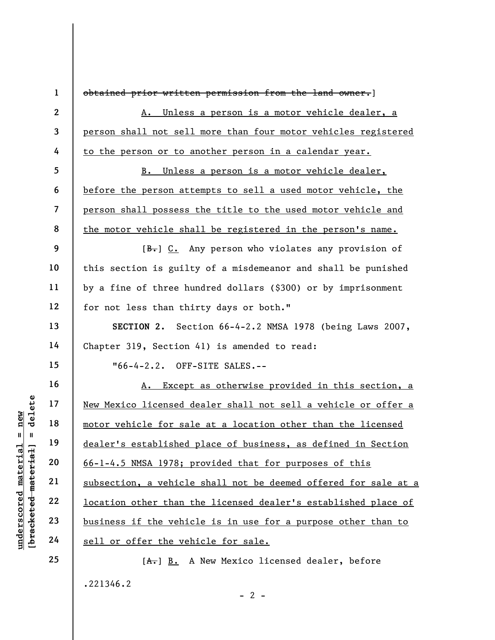understand motor vehicle for sall<br>  $\begin{array}{c|c|c|c} \hline u & u & 19 \hline u & 19 \hline u & 19 \hline u & 20 \hline u & 21 \hline u & 22 \hline u & 22 \hline u & 23 \hline u & 24 \hline u & 25 \hline u & 26 \hline u & 27 \hline u & 28 \hline u & 29 \hline u & 20 \hline u & 21 \hline u & 22 \hline u & 23 \hline u & 24 \hline u & 26 \hline u & 27 \hline$ 1 2 3 4 5 6 7 8 9 10 11 12 13 14 15 16 17 18 19 20 21 22 23 24 25 obtained prior written permission from the land owner.] A. Unless a person is a motor vehicle dealer, a person shall not sell more than four motor vehicles registered to the person or to another person in a calendar year. B. Unless a person is a motor vehicle dealer, before the person attempts to sell a used motor vehicle, the person shall possess the title to the used motor vehicle and the motor vehicle shall be registered in the person's name.  $[B<sub>r</sub>]$  C. Any person who violates any provision of this section is guilty of a misdemeanor and shall be punished by a fine of three hundred dollars (\$300) or by imprisonment for not less than thirty days or both." SECTION 2. Section 66-4-2.2 NMSA 1978 (being Laws 2007, Chapter 319, Section 41) is amended to read: "66-4-2.2. OFF-SITE SALES.-- A. Except as otherwise provided in this section, a New Mexico licensed dealer shall not sell a vehicle or offer a motor vehicle for sale at a location other than the licensed dealer's established place of business, as defined in Section 66-1-4.5 NMSA 1978; provided that for purposes of this subsection, a vehicle shall not be deemed offered for sale at a location other than the licensed dealer's established place of business if the vehicle is in use for a purpose other than to sell or offer the vehicle for sale. [A.] B. A New Mexico licensed dealer, before .221346.2

 $- 2 -$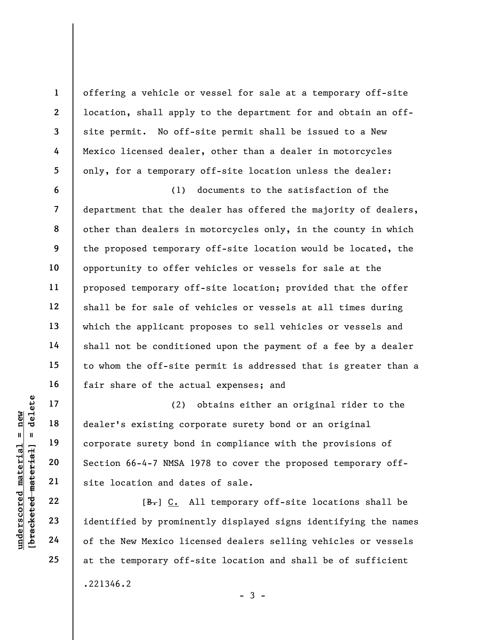offering a vehicle or vessel for sale at a temporary off-site location, shall apply to the department for and obtain an offsite permit. No off-site permit shall be issued to a New Mexico licensed dealer, other than a dealer in motorcycles only, for a temporary off-site location unless the dealer:

6 7 8 9 10 11 12 13 14 15 16 (1) documents to the satisfaction of the department that the dealer has offered the majority of dealers, other than dealers in motorcycles only, in the county in which the proposed temporary off-site location would be located, the opportunity to offer vehicles or vessels for sale at the proposed temporary off-site location; provided that the offer shall be for sale of vehicles or vessels at all times during which the applicant proposes to sell vehicles or vessels and shall not be conditioned upon the payment of a fee by a dealer to whom the off-site permit is addressed that is greater than a fair share of the actual expenses; and

UN EXERCISE 17<br>
UN EXERCISE 20<br>
UN EXERCISE SERVING A DELET UP:<br>
UN EXERCISE SERVING A DELET UP:<br>
UN EXERCISE SERVING A DELET UP:<br>
UN EXERCISE 23<br>
UN EXERCISE 10 DELET UP:<br>
UN EXERCISE 24<br>
UN EXERCISE 24<br>
UN EXERCISE 24<br>
U (2) obtains either an original rider to the dealer's existing corporate surety bond or an original corporate surety bond in compliance with the provisions of Section 66-4-7 NMSA 1978 to cover the proposed temporary offsite location and dates of sale.

[B.] C. All temporary off-site locations shall be identified by prominently displayed signs identifying the names of the New Mexico licensed dealers selling vehicles or vessels at the temporary off-site location and shall be of sufficient .221346.2

 $-3 -$ 

17

18

19

20

21

22

23

24

25

1

2

3

4

5